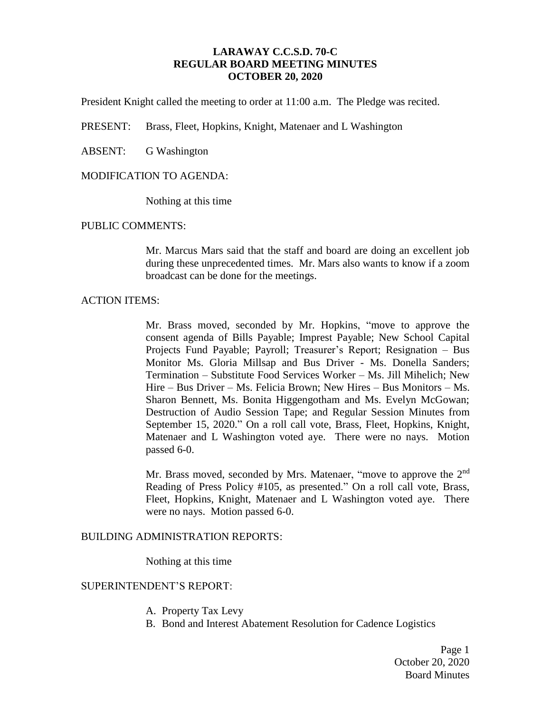## **LARAWAY C.C.S.D. 70-C REGULAR BOARD MEETING MINUTES OCTOBER 20, 2020**

President Knight called the meeting to order at 11:00 a.m. The Pledge was recited.

PRESENT: Brass, Fleet, Hopkins, Knight, Matenaer and L Washington

ABSENT: G Washington

### MODIFICATION TO AGENDA:

Nothing at this time

### PUBLIC COMMENTS:

Mr. Marcus Mars said that the staff and board are doing an excellent job during these unprecedented times. Mr. Mars also wants to know if a zoom broadcast can be done for the meetings.

### ACTION ITEMS:

Mr. Brass moved, seconded by Mr. Hopkins, "move to approve the consent agenda of Bills Payable; Imprest Payable; New School Capital Projects Fund Payable; Payroll; Treasurer's Report; Resignation – Bus Monitor Ms. Gloria Millsap and Bus Driver - Ms. Donella Sanders; Termination – Substitute Food Services Worker – Ms. Jill Mihelich; New Hire – Bus Driver – Ms. Felicia Brown; New Hires – Bus Monitors – Ms. Sharon Bennett, Ms. Bonita Higgengotham and Ms. Evelyn McGowan; Destruction of Audio Session Tape; and Regular Session Minutes from September 15, 2020." On a roll call vote, Brass, Fleet, Hopkins, Knight, Matenaer and L Washington voted aye. There were no nays. Motion passed 6-0.

Mr. Brass moved, seconded by Mrs. Matenaer, "move to approve the 2<sup>nd</sup> Reading of Press Policy #105, as presented." On a roll call vote, Brass, Fleet, Hopkins, Knight, Matenaer and L Washington voted aye. There were no nays. Motion passed 6-0.

## BUILDING ADMINISTRATION REPORTS:

Nothing at this time

### SUPERINTENDENT'S REPORT:

- A. Property Tax Levy
- B. Bond and Interest Abatement Resolution for Cadence Logistics

Page 1 October 20, 2020 Board Minutes